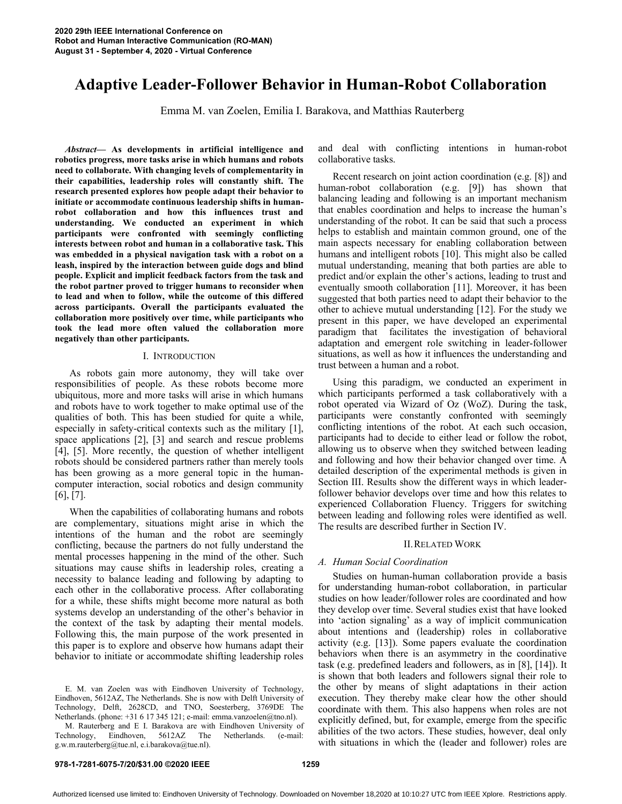# **Adaptive Leader-Follower Behavior in Human-Robot Collaboration**

Emma M. van Zoelen, Emilia I. Barakova, and Matthias Rauterberg

*Abstract***— As developments in artificial intelligence and robotics progress, more tasks arise in which humans and robots need to collaborate. With changing levels of complementarity in their capabilities, leadership roles will constantly shift. The research presented explores how people adapt their behavior to initiate or accommodate continuous leadership shifts in humanrobot collaboration and how this influences trust and understanding. We conducted an experiment in which participants were confronted with seemingly conflicting interests between robot and human in a collaborative task. This was embedded in a physical navigation task with a robot on a leash, inspired by the interaction between guide dogs and blind people. Explicit and implicit feedback factors from the task and the robot partner proved to trigger humans to reconsider when to lead and when to follow, while the outcome of this differed across participants. Overall the participants evaluated the collaboration more positively over time, while participants who took the lead more often valued the collaboration more negatively than other participants.** 

#### I. INTRODUCTION

As robots gain more autonomy, they will take over responsibilities of people. As these robots become more ubiquitous, more and more tasks will arise in which humans and robots have to work together to make optimal use of the qualities of both. This has been studied for quite a while, especially in safety-critical contexts such as the military [1], space applications [2], [3] and search and rescue problems [4], [5]. More recently, the question of whether intelligent robots should be considered partners rather than merely tools has been growing as a more general topic in the humancomputer interaction, social robotics and design community [6], [7].

When the capabilities of collaborating humans and robots are complementary, situations might arise in which the intentions of the human and the robot are seemingly conflicting, because the partners do not fully understand the mental processes happening in the mind of the other. Such situations may cause shifts in leadership roles, creating a necessity to balance leading and following by adapting to each other in the collaborative process. After collaborating for a while, these shifts might become more natural as both systems develop an understanding of the other's behavior in the context of the task by adapting their mental models. Following this, the main purpose of the work presented in this paper is to explore and observe how humans adapt their behavior to initiate or accommodate shifting leadership roles

M. Rauterberg and E I. Barakova are with Eindhoven University of Technology, Eindhoven, 5612AZ The Netherlands. (e-mail: g.w.m.rauterberg@tue.nl, e.i.barakova@tue.nl).

and deal with conflicting intentions in human-robot collaborative tasks.

Recent research on joint action coordination (e.g. [8]) and human-robot collaboration (e.g. [9]) has shown that balancing leading and following is an important mechanism that enables coordination and helps to increase the human's understanding of the robot. It can be said that such a process helps to establish and maintain common ground, one of the main aspects necessary for enabling collaboration between humans and intelligent robots [10]. This might also be called mutual understanding, meaning that both parties are able to predict and/or explain the other's actions, leading to trust and eventually smooth collaboration [11]. Moreover, it has been suggested that both parties need to adapt their behavior to the other to achieve mutual understanding [12]. For the study we present in this paper, we have developed an experimental paradigm that facilitates the investigation of behavioral adaptation and emergent role switching in leader-follower situations, as well as how it influences the understanding and trust between a human and a robot.

Using this paradigm, we conducted an experiment in which participants performed a task collaboratively with a robot operated via Wizard of Oz (WoZ). During the task, participants were constantly confronted with seemingly conflicting intentions of the robot. At each such occasion, participants had to decide to either lead or follow the robot, allowing us to observe when they switched between leading and following and how their behavior changed over time. A detailed description of the experimental methods is given in Section III. Results show the different ways in which leaderfollower behavior develops over time and how this relates to experienced Collaboration Fluency. Triggers for switching between leading and following roles were identified as well. The results are described further in Section IV.

#### II.RELATED WORK

### *A. Human Social Coordination*

Studies on human-human collaboration provide a basis for understanding human-robot collaboration, in particular studies on how leader/follower roles are coordinated and how they develop over time. Several studies exist that have looked into 'action signaling' as a way of implicit communication about intentions and (leadership) roles in collaborative activity (e.g. [13]). Some papers evaluate the coordination behaviors when there is an asymmetry in the coordinative task (e.g. predefined leaders and followers, as in [8], [14]). It is shown that both leaders and followers signal their role to the other by means of slight adaptations in their action execution. They thereby make clear how the other should coordinate with them. This also happens when roles are not explicitly defined, but, for example, emerge from the specific abilities of the two actors. These studies, however, deal only with situations in which the (leader and follower) roles are

# **978-1-7281-6075-7/20/\$31.00 ©2020 IEEE 1259**

E. M. van Zoelen was with Eindhoven University of Technology, Eindhoven, 5612AZ, The Netherlands. She is now with Delft University of Technology, Delft, 2628CD, and TNO, Soesterberg, 3769DE The Netherlands. (phone:  $+31$  6 17 345 121; e-mail: emma.vanzoelen@tno.nl).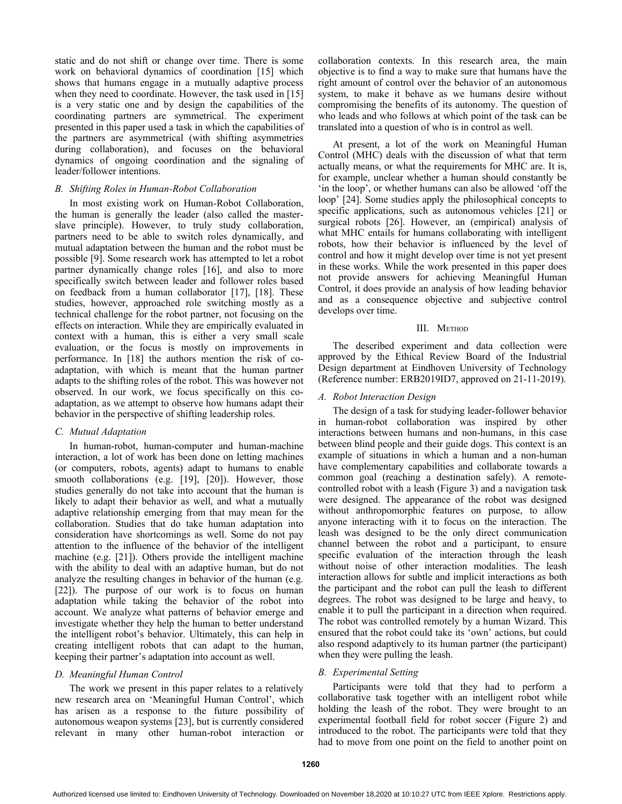static and do not shift or change over time. There is some work on behavioral dynamics of coordination [15] which shows that humans engage in a mutually adaptive process when they need to coordinate. However, the task used in [15] is a very static one and by design the capabilities of the coordinating partners are symmetrical. The experiment presented in this paper used a task in which the capabilities of the partners are asymmetrical (with shifting asymmetries during collaboration), and focuses on the behavioral dynamics of ongoing coordination and the signaling of leader/follower intentions.

# *B. Shifting Roles in Human-Robot Collaboration*

In most existing work on Human-Robot Collaboration, the human is generally the leader (also called the masterslave principle). However, to truly study collaboration, partners need to be able to switch roles dynamically, and mutual adaptation between the human and the robot must be possible [9]. Some research work has attempted to let a robot partner dynamically change roles [16], and also to more specifically switch between leader and follower roles based on feedback from a human collaborator [17], [18]. These studies, however, approached role switching mostly as a technical challenge for the robot partner, not focusing on the effects on interaction. While they are empirically evaluated in context with a human, this is either a very small scale evaluation, or the focus is mostly on improvements in performance. In [18] the authors mention the risk of coadaptation, with which is meant that the human partner adapts to the shifting roles of the robot. This was however not observed. In our work, we focus specifically on this coadaptation, as we attempt to observe how humans adapt their behavior in the perspective of shifting leadership roles.

# *C. Mutual Adaptation*

In human-robot, human-computer and human-machine interaction, a lot of work has been done on letting machines (or computers, robots, agents) adapt to humans to enable smooth collaborations (e.g. [19], [20]). However, those studies generally do not take into account that the human is likely to adapt their behavior as well, and what a mutually adaptive relationship emerging from that may mean for the collaboration. Studies that do take human adaptation into consideration have shortcomings as well. Some do not pay attention to the influence of the behavior of the intelligent machine (e.g. [21]). Others provide the intelligent machine with the ability to deal with an adaptive human, but do not analyze the resulting changes in behavior of the human (e.g. [22]). The purpose of our work is to focus on human adaptation while taking the behavior of the robot into account. We analyze what patterns of behavior emerge and investigate whether they help the human to better understand the intelligent robot's behavior. Ultimately, this can help in creating intelligent robots that can adapt to the human, keeping their partner's adaptation into account as well.

# *D. Meaningful Human Control*

The work we present in this paper relates to a relatively new research area on 'Meaningful Human Control', which has arisen as a response to the future possibility of autonomous weapon systems [23], but is currently considered relevant in many other human-robot interaction or

collaboration contexts. In this research area, the main objective is to find a way to make sure that humans have the right amount of control over the behavior of an autonomous system, to make it behave as we humans desire without compromising the benefits of its autonomy. The question of who leads and who follows at which point of the task can be translated into a question of who is in control as well.

At present, a lot of the work on Meaningful Human Control (MHC) deals with the discussion of what that term actually means, or what the requirements for MHC are. It is, for example, unclear whether a human should constantly be 'in the loop', or whether humans can also be allowed 'off the loop' [24]. Some studies apply the philosophical concepts to specific applications, such as autonomous vehicles [21] or surgical robots [26]. However, an (empirical) analysis of what MHC entails for humans collaborating with intelligent robots, how their behavior is influenced by the level of control and how it might develop over time is not yet present in these works. While the work presented in this paper does not provide answers for achieving Meaningful Human Control, it does provide an analysis of how leading behavior and as a consequence objective and subjective control develops over time.

#### III. METHOD

The described experiment and data collection were approved by the Ethical Review Board of the Industrial Design department at Eindhoven University of Technology (Reference number: ERB2019ID7, approved on 21-11-2019).

#### *A. Robot Interaction Design*

The design of a task for studying leader-follower behavior in human-robot collaboration was inspired by other interactions between humans and non-humans, in this case between blind people and their guide dogs. This context is an example of situations in which a human and a non-human have complementary capabilities and collaborate towards a common goal (reaching a destination safely). A remotecontrolled robot with a leash (Figure 3) and a navigation task were designed. The appearance of the robot was designed without anthropomorphic features on purpose, to allow anyone interacting with it to focus on the interaction. The leash was designed to be the only direct communication channel between the robot and a participant, to ensure specific evaluation of the interaction through the leash without noise of other interaction modalities. The leash interaction allows for subtle and implicit interactions as both the participant and the robot can pull the leash to different degrees. The robot was designed to be large and heavy, to enable it to pull the participant in a direction when required. The robot was controlled remotely by a human Wizard. This ensured that the robot could take its 'own' actions, but could also respond adaptively to its human partner (the participant) when they were pulling the leash.

#### *B. Experimental Setting*

Participants were told that they had to perform a collaborative task together with an intelligent robot while holding the leash of the robot. They were brought to an experimental football field for robot soccer (Figure 2) and introduced to the robot. The participants were told that they had to move from one point on the field to another point on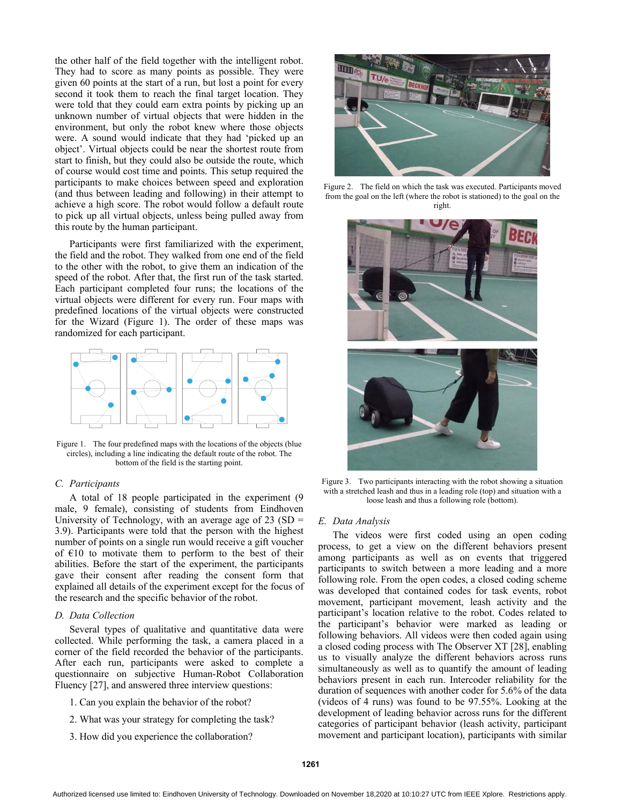the other half of the field together with the intelligent robot. They had to score as many points as possible. They were given 60 points at the start of a run, but lost a point for every second it took them to reach the final target location. They were told that they could earn extra points by picking up an unknown number of virtual objects that were hidden in the environment, but only the robot knew where those objects were. A sound would indicate that they had 'picked up an object'. Virtual objects could be near the shortest route from start to finish, but they could also be outside the route, which of course would cost time and points. This setup required the participants to make choices between speed and exploration (and thus between leading and following) in their attempt to achieve a high score. The robot would follow a default route to pick up all virtual objects, unless being pulled away from this route by the human participant.

Participants were first familiarized with the experiment, the field and the robot. They walked from one end of the field to the other with the robot, to give them an indication of the speed of the robot. After that, the first run of the task started. Each participant completed four runs; the locations of the virtual objects were different for every run. Four maps with predefined locations of the virtual objects were constructed for the Wizard (Figure 1). The order of these maps was randomized for each participant.



Figure 1. The four predefined maps with the locations of the objects (blue circles), including a line indicating the default route of the robot. The bottom of the field is the starting point.

# *C. Participants*

A total of 18 people participated in the experiment (9 male, 9 female), consisting of students from Eindhoven University of Technology, with an average age of  $23 \text{ (SD} =$ 3.9). Participants were told that the person with the highest number of points on a single run would receive a gift voucher of  $E10$  to motivate them to perform to the best of their abilities. Before the start of the experiment, the participants gave their consent after reading the consent form that explained all details of the experiment except for the focus of the research and the specific behavior of the robot.

### *D. Data Collection*

Several types of qualitative and quantitative data were collected. While performing the task, a camera placed in a corner of the field recorded the behavior of the participants. After each run, participants were asked to complete a questionnaire on subjective Human-Robot Collaboration Fluency [27], and answered three interview questions:

- 1. Can you explain the behavior of the robot?
- 2. What was your strategy for completing the task?
- 3. How did you experience the collaboration?



Figure 2. The field on which the task was executed. Participants moved from the goal on the left (where the robot is stationed) to the goal on the right.



Figure 3. Two participants interacting with the robot showing a situation with a stretched leash and thus in a leading role (top) and situation with a loose leash and thus a following role (bottom).

#### *E. Data Analysis*

The videos were first coded using an open coding process, to get a view on the different behaviors present among participants as well as on events that triggered participants to switch between a more leading and a more following role. From the open codes, a closed coding scheme was developed that contained codes for task events, robot movement, participant movement, leash activity and the participant's location relative to the robot. Codes related to the participant's behavior were marked as leading or following behaviors. All videos were then coded again using a closed coding process with The Observer XT [28], enabling us to visually analyze the different behaviors across runs simultaneously as well as to quantify the amount of leading behaviors present in each run. Intercoder reliability for the duration of sequences with another coder for 5.6% of the data (videos of 4 runs) was found to be 97.55%. Looking at the development of leading behavior across runs for the different categories of participant behavior (leash activity, participant movement and participant location), participants with similar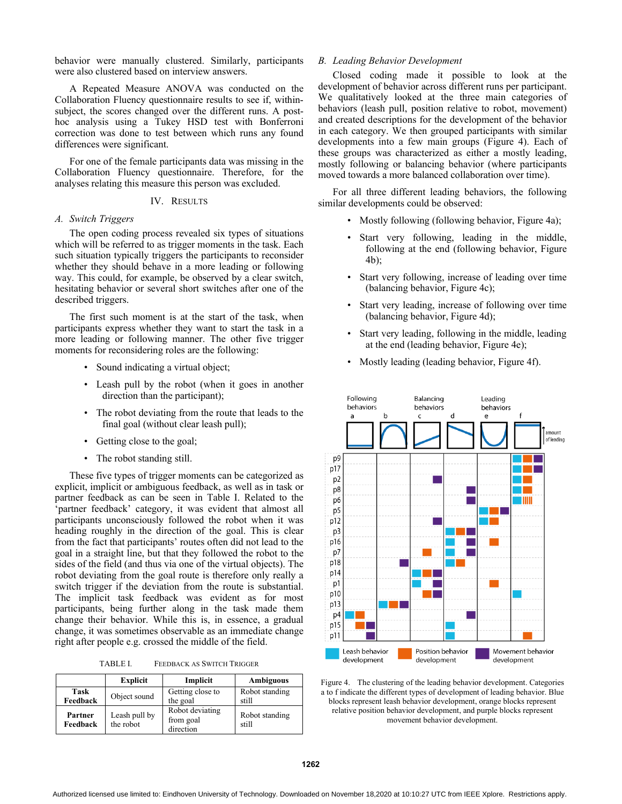behavior were manually clustered. Similarly, participants were also clustered based on interview answers.

A Repeated Measure ANOVA was conducted on the Collaboration Fluency questionnaire results to see if, withinsubject, the scores changed over the different runs. A posthoc analysis using a Tukey HSD test with Bonferroni correction was done to test between which runs any found differences were significant.

For one of the female participants data was missing in the Collaboration Fluency questionnaire. Therefore, for the analyses relating this measure this person was excluded.

# IV. RESULTS

#### *A. Switch Triggers*

The open coding process revealed six types of situations which will be referred to as trigger moments in the task. Each such situation typically triggers the participants to reconsider whether they should behave in a more leading or following way. This could, for example, be observed by a clear switch, hesitating behavior or several short switches after one of the described triggers.

The first such moment is at the start of the task, when participants express whether they want to start the task in a more leading or following manner. The other five trigger moments for reconsidering roles are the following:

- Sound indicating a virtual object;
- Leash pull by the robot (when it goes in another direction than the participant);
- The robot deviating from the route that leads to the final goal (without clear leash pull);
- Getting close to the goal;
- The robot standing still.

These five types of trigger moments can be categorized as explicit, implicit or ambiguous feedback, as well as in task or partner feedback as can be seen in Table I. Related to the 'partner feedback' category, it was evident that almost all participants unconsciously followed the robot when it was heading roughly in the direction of the goal. This is clear from the fact that participants' routes often did not lead to the goal in a straight line, but that they followed the robot to the sides of the field (and thus via one of the virtual objects). The robot deviating from the goal route is therefore only really a switch trigger if the deviation from the route is substantial. The implicit task feedback was evident as for most participants, being further along in the task made them change their behavior. While this is, in essence, a gradual change, it was sometimes observable as an immediate change right after people e.g. crossed the middle of the field.

TABLE I. FEEDBACK AS SWITCH TRIGGER

|                     | <b>Explicit</b>            | Implicit                                  | Ambiguous               |
|---------------------|----------------------------|-------------------------------------------|-------------------------|
| Task<br>Feedback    | Object sound               | Getting close to<br>the goal              | Robot standing<br>still |
| Partner<br>Feedback | Leash pull by<br>the robot | Robot deviating<br>from goal<br>direction | Robot standing<br>still |

# *B. Leading Behavior Development*

Closed coding made it possible to look at the development of behavior across different runs per participant. We qualitatively looked at the three main categories of behaviors (leash pull, position relative to robot, movement) and created descriptions for the development of the behavior in each category. We then grouped participants with similar developments into a few main groups (Figure 4). Each of these groups was characterized as either a mostly leading, mostly following or balancing behavior (where participants moved towards a more balanced collaboration over time).

For all three different leading behaviors, the following similar developments could be observed:

- Mostly following (following behavior, Figure 4a);
- Start very following, leading in the middle, following at the end (following behavior, Figure 4b);
- Start very following, increase of leading over time (balancing behavior, Figure 4c);
- Start very leading, increase of following over time (balancing behavior, Figure 4d);
- Start very leading, following in the middle, leading at the end (leading behavior, Figure 4e);
- Mostly leading (leading behavior, Figure 4f).



Figure 4. The clustering of the leading behavior development. Categories a to f indicate the different types of development of leading behavior. Blue blocks represent leash behavior development, orange blocks represent relative position behavior development, and purple blocks represent movement behavior development.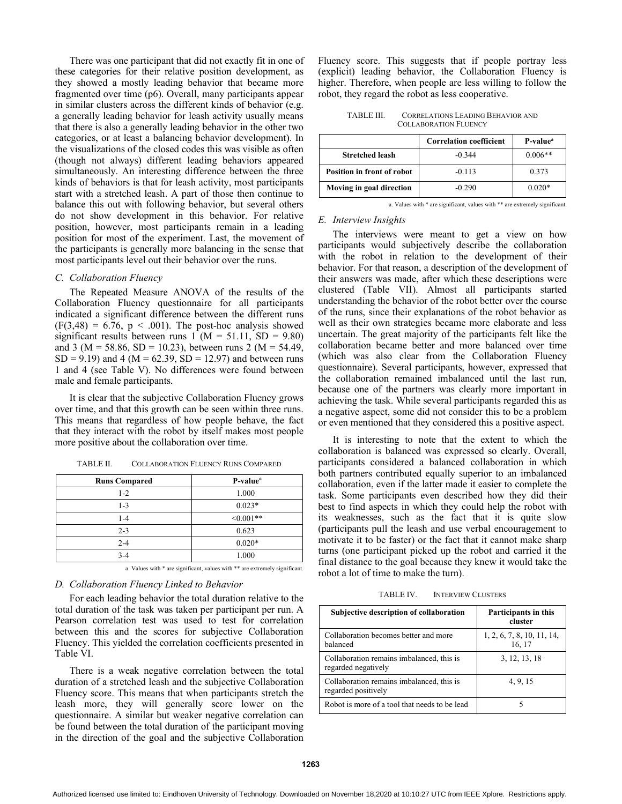There was one participant that did not exactly fit in one of these categories for their relative position development, as they showed a mostly leading behavior that became more fragmented over time (p6). Overall, many participants appear in similar clusters across the different kinds of behavior (e.g. a generally leading behavior for leash activity usually means that there is also a generally leading behavior in the other two categories, or at least a balancing behavior development). In the visualizations of the closed codes this was visible as often (though not always) different leading behaviors appeared simultaneously. An interesting difference between the three kinds of behaviors is that for leash activity, most participants start with a stretched leash. A part of those then continue to balance this out with following behavior, but several others do not show development in this behavior. For relative position, however, most participants remain in a leading position for most of the experiment. Last, the movement of the participants is generally more balancing in the sense that most participants level out their behavior over the runs.

# *C. Collaboration Fluency*

The Repeated Measure ANOVA of the results of the Collaboration Fluency questionnaire for all participants indicated a significant difference between the different runs  $(F(3,48) = 6.76, p < .001)$ . The post-hoc analysis showed significant results between runs 1 ( $M = 51.11$ ,  $SD = 9.80$ ) and 3 (M = 58.86, SD = 10.23), between runs 2 (M = 54.49,  $SD = 9.19$  and 4 (M = 62.39, SD = 12.97) and between runs 1 and 4 (see Table V). No differences were found between male and female participants.

It is clear that the subjective Collaboration Fluency grows over time, and that this growth can be seen within three runs. This means that regardless of how people behave, the fact that they interact with the robot by itself makes most people more positive about the collaboration over time.

| <b>Runs Compared</b> | P-value <sup>a</sup> |
|----------------------|----------------------|
| $1 - 2$              | 1.000                |
| $1 - 3$              | $0.023*$             |
| $1 - 4$              | $\leq 0.001**$       |
| $2 - 3$              | 0.623                |
| $2 - 4$              | $0.020*$             |
| $3-4$                | 1.000                |

TABLE II. COLLABORATION FLUENCY RUNS COMPARED

a. Values with \* are significant, values with \*\* are extremely significant.

# *D. Collaboration Fluency Linked to Behavior*

For each leading behavior the total duration relative to the total duration of the task was taken per participant per run. A Pearson correlation test was used to test for correlation between this and the scores for subjective Collaboration Fluency. This yielded the correlation coefficients presented in Table VI.

There is a weak negative correlation between the total duration of a stretched leash and the subjective Collaboration Fluency score. This means that when participants stretch the leash more, they will generally score lower on the questionnaire. A similar but weaker negative correlation can be found between the total duration of the participant moving in the direction of the goal and the subjective Collaboration

Fluency score. This suggests that if people portray less (explicit) leading behavior, the Collaboration Fluency is higher. Therefore, when people are less willing to follow the robot, they regard the robot as less cooperative.

TABLE III. CORRELATIONS LEADING BEHAVIOR AND COLLABORATION FLUENCY

|                                   | <b>Correlation coefficient</b> | P-value <sup>a</sup> |
|-----------------------------------|--------------------------------|----------------------|
| <b>Stretched leash</b>            | $-0.344$                       | $0.006**$            |
| <b>Position in front of robot</b> | $-0.113$                       | 0.373                |
| Moving in goal direction          | $-0.290$                       | $0.020*$             |

a. Values with \* are significant, values with \*\* are extremely significant.

# *E. Interview Insights*

The interviews were meant to get a view on how participants would subjectively describe the collaboration with the robot in relation to the development of their behavior. For that reason, a description of the development of their answers was made, after which these descriptions were clustered (Table VII). Almost all participants started understanding the behavior of the robot better over the course of the runs, since their explanations of the robot behavior as well as their own strategies became more elaborate and less uncertain. The great majority of the participants felt like the collaboration became better and more balanced over time (which was also clear from the Collaboration Fluency questionnaire). Several participants, however, expressed that the collaboration remained imbalanced until the last run, because one of the partners was clearly more important in achieving the task. While several participants regarded this as a negative aspect, some did not consider this to be a problem or even mentioned that they considered this a positive aspect.

It is interesting to note that the extent to which the collaboration is balanced was expressed so clearly. Overall, participants considered a balanced collaboration in which both partners contributed equally superior to an imbalanced collaboration, even if the latter made it easier to complete the task. Some participants even described how they did their best to find aspects in which they could help the robot with its weaknesses, such as the fact that it is quite slow (participants pull the leash and use verbal encouragement to motivate it to be faster) or the fact that it cannot make sharp turns (one participant picked up the robot and carried it the final distance to the goal because they knew it would take the robot a lot of time to make the turn).

TABLE IV. INTERVIEW CLUSTERS

| Subjective description of collaboration                          | Participants in this<br>cluster      |
|------------------------------------------------------------------|--------------------------------------|
| Collaboration becomes better and more<br>balanced                | 1, 2, 6, 7, 8, 10, 11, 14,<br>16, 17 |
| Collaboration remains imbalanced, this is<br>regarded negatively | 3, 12, 13, 18                        |
| Collaboration remains imbalanced, this is<br>regarded positively | 4, 9, 15                             |
| Robot is more of a tool that needs to be lead                    |                                      |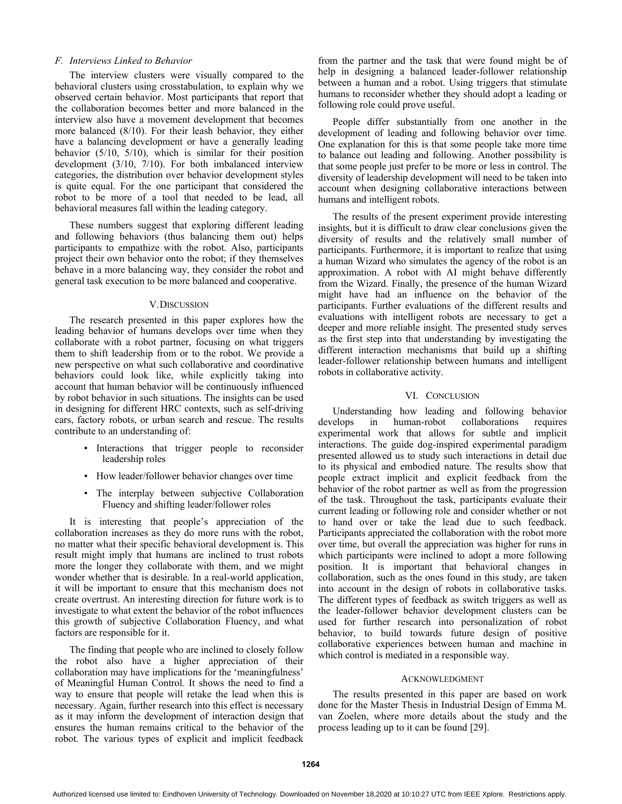# *F. Interviews Linked to Behavior*

The interview clusters were visually compared to the behavioral clusters using crosstabulation, to explain why we observed certain behavior. Most participants that report that the collaboration becomes better and more balanced in the interview also have a movement development that becomes more balanced (8/10). For their leash behavior, they either have a balancing development or have a generally leading behavior (5/10, 5/10), which is similar for their position development (3/10, 7/10). For both imbalanced interview categories, the distribution over behavior development styles is quite equal. For the one participant that considered the robot to be more of a tool that needed to be lead, all behavioral measures fall within the leading category.

These numbers suggest that exploring different leading and following behaviors (thus balancing them out) helps participants to empathize with the robot. Also, participants project their own behavior onto the robot; if they themselves behave in a more balancing way, they consider the robot and general task execution to be more balanced and cooperative.

#### V.DISCUSSION

The research presented in this paper explores how the leading behavior of humans develops over time when they collaborate with a robot partner, focusing on what triggers them to shift leadership from or to the robot. We provide a new perspective on what such collaborative and coordinative behaviors could look like, while explicitly taking into account that human behavior will be continuously influenced by robot behavior in such situations. The insights can be used in designing for different HRC contexts, such as self-driving cars, factory robots, or urban search and rescue. The results contribute to an understanding of:

- Interactions that trigger people to reconsider leadership roles
- How leader/follower behavior changes over time
- The interplay between subjective Collaboration Fluency and shifting leader/follower roles

It is interesting that people's appreciation of the collaboration increases as they do more runs with the robot, no matter what their specific behavioral development is. This result might imply that humans are inclined to trust robots more the longer they collaborate with them, and we might wonder whether that is desirable. In a real-world application, it will be important to ensure that this mechanism does not create overtrust. An interesting direction for future work is to investigate to what extent the behavior of the robot influences this growth of subjective Collaboration Fluency, and what factors are responsible for it.

The finding that people who are inclined to closely follow the robot also have a higher appreciation of their collaboration may have implications for the 'meaningfulness' of Meaningful Human Control. It shows the need to find a way to ensure that people will retake the lead when this is necessary. Again, further research into this effect is necessary as it may inform the development of interaction design that ensures the human remains critical to the behavior of the robot. The various types of explicit and implicit feedback

from the partner and the task that were found might be of help in designing a balanced leader-follower relationship between a human and a robot. Using triggers that stimulate humans to reconsider whether they should adopt a leading or following role could prove useful.

People differ substantially from one another in the development of leading and following behavior over time. One explanation for this is that some people take more time to balance out leading and following. Another possibility is that some people just prefer to be more or less in control. The diversity of leadership development will need to be taken into account when designing collaborative interactions between humans and intelligent robots.

The results of the present experiment provide interesting insights, but it is difficult to draw clear conclusions given the diversity of results and the relatively small number of participants. Furthermore, it is important to realize that using a human Wizard who simulates the agency of the robot is an approximation. A robot with AI might behave differently from the Wizard. Finally, the presence of the human Wizard might have had an influence on the behavior of the participants. Further evaluations of the different results and evaluations with intelligent robots are necessary to get a deeper and more reliable insight. The presented study serves as the first step into that understanding by investigating the different interaction mechanisms that build up a shifting leader-follower relationship between humans and intelligent robots in collaborative activity.

#### VI. CONCLUSION

Understanding how leading and following behavior develops in human-robot collaborations requires experimental work that allows for subtle and implicit interactions. The guide dog-inspired experimental paradigm presented allowed us to study such interactions in detail due to its physical and embodied nature. The results show that people extract implicit and explicit feedback from the behavior of the robot partner as well as from the progression of the task. Throughout the task, participants evaluate their current leading or following role and consider whether or not to hand over or take the lead due to such feedback. Participants appreciated the collaboration with the robot more over time, but overall the appreciation was higher for runs in which participants were inclined to adopt a more following position. It is important that behavioral changes in collaboration, such as the ones found in this study, are taken into account in the design of robots in collaborative tasks. The different types of feedback as switch triggers as well as the leader-follower behavior development clusters can be used for further research into personalization of robot behavior, to build towards future design of positive collaborative experiences between human and machine in which control is mediated in a responsible way.

#### ACKNOWLEDGMENT

The results presented in this paper are based on work done for the Master Thesis in Industrial Design of Emma M. van Zoelen, where more details about the study and the process leading up to it can be found [29].